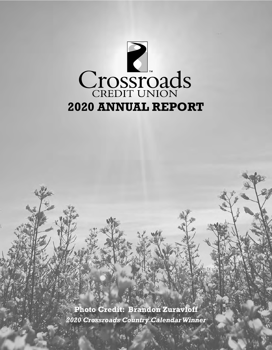

*2020 Crossroads Country Calendar Winner* **Photo Credit: Brandon Zuravloff**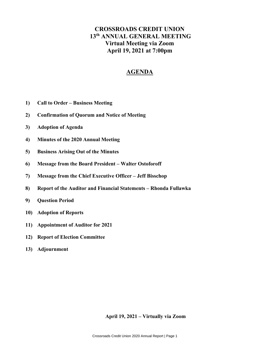### **CROSSROADS CREDIT UNION 13th ANNUAL GENERAL MEETING Virtual Meeting via Zoom April 19, 2021 at 7:00pm**

### **AGENDA**

- **1) Call to Order – Business Meeting**
- **2) Confirmation of Quorum and Notice of Meeting**
- **3) Adoption of Agenda**
- **4) Minutes of the 2020 Annual Meeting**
- **5) Business Arising Out of the Minutes**
- **6) Message from the Board President – Walter Ostoforoff**
- **7) Message from the Chief Executive Officer – Jeff Bisschop**
- **8) Report of the Auditor and Financial Statements – Rhonda Fullawka**
- **9) Question Period**
- **10) Adoption of Reports**
- **11) Appointment of Auditor for 2021**
- **12) Report of Election Committee**
- **13) Adjournment**

**April 19, 2021 – Virtually via Zoom**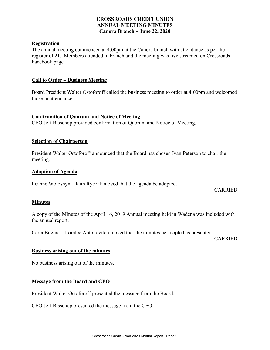### **CROSSROADS CREDIT UNION ANNUAL MEETING MINUTES Canora Branch – June 22, 2020**

### **Registration**

The annual meeting commenced at 4:00pm at the Canora branch with attendance as per the register of 21. Members attended in branch and the meeting was live streamed on Crossroads Facebook page.

#### **Call to Order – Business Meeting**

Board President Walter Ostoforoff called the business meeting to order at 4:00pm and welcomed those in attendance.

### **Confirmation of Quorum and Notice of Meeting**

CEO Jeff Bisschop provided confirmation of Quorum and Notice of Meeting.

#### **Selection of Chairperson**

President Walter Ostoforoff announced that the Board has chosen Ivan Peterson to chair the meeting.

#### **Adoption of Agenda**

Leanne Woloshyn – Kim Ryczak moved that the agenda be adopted.

#### CARRIED

#### **Minutes**

A copy of the Minutes of the April 16, 2019 Annual meeting held in Wadena was included with the annual report.

Carla Bugera – Loralee Antonovitch moved that the minutes be adopted as presented.

CARRIED

#### **Business arising out of the minutes**

No business arising out of the minutes.

### **Message from the Board and CEO**

President Walter Ostoforoff presented the message from the Board.

CEO Jeff Bisschop presented the message from the CEO.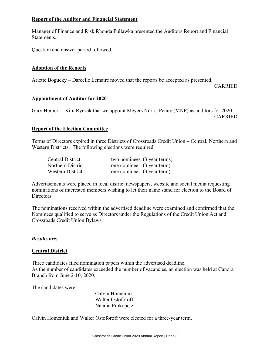### **Report of the Auditor and Financial Statement**

Manager of Finance and Risk Rhonda Fullawka presented the Auditors Report and Financial Statements.

Question and answer period followed.

### **Adoption of the Reports**

Arlette Bogucky – Darcelle Lemaire moved that the reports be accepted as presented.

CARRIED

### **Appointment of Auditor for 2020**

Gary Herbert – Kim Ryczak that we appoint Meyers Norris Penny (MNP) as auditors for 2020. CARRIED

### **Report of the Election Committee**

Terms of Directors expired in three Districts of Crossroads Credit Union – Central, Northern and Western Districts. The following elections were required:

| Central District  | two nominees (3 year terms) |  |
|-------------------|-----------------------------|--|
| Northern District | one nominee (3 year term)   |  |
| Western District  | one nominee (3 year term)   |  |

Advertisements were placed in local district newspapers, website and social media requesting nominations of interested members wishing to let their name stand for election to the Board of Directors.

The nominations received within the advertised deadline were examined and confirmed that the Nominees qualified to serve as Directors under the Regulations of the Credit Union Act and Crossroads Credit Union Bylaws.

### *Results are:*

### **Central District**

Three candidates filed nomination papers within the advertised deadline. As the number of candidates exceeded the number of vacancies, an election was held at Canora Branch from June 2-10, 2020.

The candidates were:

Calvin Homeniuk Walter Ostoforoff Natalia Prokopetz

Calvin Homeniuk and Walter Ostoforoff were elected for a three-year term.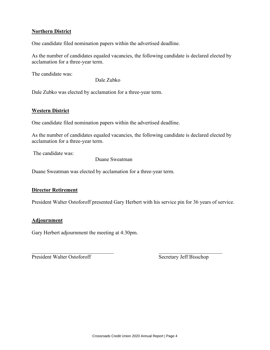### **Northern District**

One candidate filed nomination papers within the advertised deadline.

As the number of candidates equaled vacancies, the following candidate is declared elected by acclamation for a three-year term.

The candidate was:

Dale Zubko

Dale Zubko was elected by acclamation for a three-year term.

### **Western District**

One candidate filed nomination papers within the advertised deadline.

As the number of candidates equaled vacancies, the following candidate is declared elected by acclamation for a three-year term.

The candidate was:

Duane Sweatman

Duane Sweatman was elected by acclamation for a three-year term.

### **Director Retirement**

President Walter Ostoforoff presented Gary Herbert with his service pin for 36 years of service.

 $\mathcal{L}_\text{max}$  , and the contribution of the contribution of the contribution of the contribution of the contribution of the contribution of the contribution of the contribution of the contribution of the contribution of t

### **Adjournment**

Gary Herbert adjournment the meeting at 4:30pm.

President Walter Ostoforoff Secretary Jeff Bisschop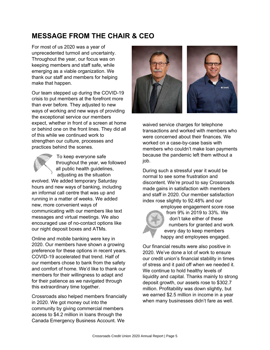# **MESSAGE FROM THE CHAIR & CEO**

For most of us 2020 was a year of unprecedented turmoil and uncertainty. Throughout the year, our focus was on keeping members and staff safe, while emerging as a viable organization. We thank our staff and members for helping make that happen.

Our team stepped up during the COVID-19 crisis to put members at the forefront more than ever before. They adjusted to new ways of working and new ways of providing the exceptional service our members expect, whether in front of a screen at home or behind one on the front lines. They did all of this while we continued work to strengthen our culture, processes and practices behind the scenes.



To keep everyone safe throughout the year, we followed all public health guidelines, adjusting as the situation

evolved. We added temporary Saturday hours and new ways of banking, including an informal call centre that was up and running in a matter of weeks. We added new, more convenient ways of communicating with our members like text messages and virtual meetings. We also encouraged use of no-contact options like our night deposit boxes and ATMs.

Online and mobile banking were key in 2020. Our members have shown a growing preference for these options in recent years. COVID-19 accelerated that trend. Half of our members chose to bank from the safety and comfort of home. We'd like to thank our members for their willingness to adapt and for their patience as we navigated through this extraordinary time together.

Crossroads also helped members financially in 2020. We got money out into the community by giving commercial members access to \$4.2 million in loans through the Canada Emergency Business Account. We



waived service charges for telephone transactions and worked with members who were concerned about their finances. We worked on a case-by-case basis with members who couldn't make loan payments because the pandemic left them without a job.

During such a stressful year it would be normal to see some frustration and discontent. We're proud to say Crossroads made gains in satisfaction with members and staff in 2020. Our member satisfaction index rose slightly to 92.48% and our



employee engagement score rose from 9% in 2019 to 33%. We don't take either of these numbers for granted and work every day to keep members happy and employees engaged.

Our financial results were also positive in 2020. We've done a lot of work to ensure our credit union's financial stability in times of stress and it paid off when we needed it. We continue to hold healthy levels of liquidity and capital. Thanks mainly to strong deposit growth, our assets rose to \$302.7 million. Profitability was down slightly, but we earned \$2.5 million in income in a year when many businesses didn't fare as well.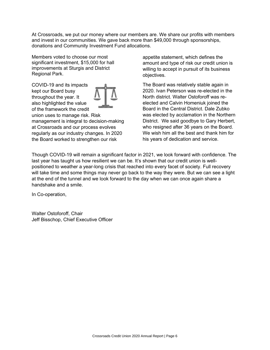At Crossroads, we put our money where our members are. We share our profits with members and invest in our communities. We gave back more than \$49,000 through sponsorships, donations and Community Investment Fund allocations.

Members voted to choose our most significant investment, \$15,000 for hall improvements at Sturgis and District Regional Park.

COVID-19 and its impacts kept our Board busy throughout the year. It also highlighted the value of the framework the credit union uses to manage risk. Risk management is integral to decision-making at Crossroads and our process evolves regularly as our industry changes. In 2020

the Board worked to strengthen our risk

appetite statement, which defines the amount and type of risk our credit union is willing to accept in pursuit of its business objectives.

The Board was relatively stable again in 2020. Ivan Peterson was re-elected in the North district. Walter Ostoforoff was reelected and Calvin Homeniuk joined the Board in the Central District. Dale Zubko was elected by acclamation in the Northern District. We said goodbye to Gary Herbert, who resigned after 36 years on the Board. We wish him all the best and thank him for his years of dedication and service.

Though COVID-19 will remain a significant factor in 2021, we look forward with confidence. The last year has taught us how resilient we can be. It's shown that our credit union is wellpositioned to weather a year-long crisis that reached into every facet of society. Full recovery will take time and some things may never go back to the way they were. But we can see a light at the end of the tunnel and we look forward to the day when we can once again share a handshake and a smile.

In Co-operation,

Walter Ostoforoff, Chair Jeff Bisschop, Chief Executive Officer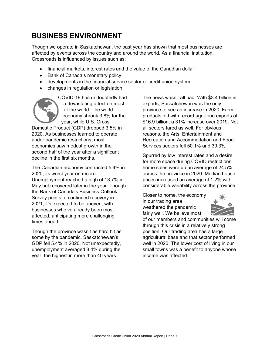# **BUSINESS ENVIRONMENT**

Though we operate in Saskatchewan, the past year has shown that most businesses are affected by events across the country and around the world. As a financial institution, Crossroads is influenced by issues such as:

- financial markets, interest rates and the value of the Canadian dollar
- Bank of Canada's monetary policy
- developments in the financial service sector or credit union system
- changes in regulation or legislation



COVID-19 has undoubtedly had a devastating affect on most of the world. The world economy shrank 3.8% for the year, while U.S. Gross

Domestic Product (GDP) dropped 3.5% in 2020. As businesses learned to operate under pandemic restrictions, most economies saw modest growth in the second half of the year after a significant decline in the first six months.

The Canadian economy contracted 5.4% in 2020, its worst year on record. Unemployment reached a high of 13.7% in May but recovered later in the year. Though the Bank of Canada's Business Outlook Survey points to continued recovery in 2021, it's expected to be uneven, with businesses who've already been most affected, anticipating more challenging times ahead.

Though the province wasn't as hard hit as some by the pandemic, Saskatchewan's GDP fell 5.4% in 2020. Not unexpectedly, unemployment averaged 8.4% during the year, the highest in more than 40 years.

The news wasn't all bad. With \$3.4 billion in exports, Saskatchewan was the only province to see an increase in 2020. Farm products led with record agri-food exports of \$16.9 billion, a 31% increase over 2019. Not all sectors fared as well. For obvious reasons, the Arts, Entertainment and Recreation and Accommodation and Food Services sectors fell 50.1% and 39.3%.

Spurred by low interest rates and a desire for more space during COVID restrictions, home sales were up an average of 24.5% across the province in 2020. Median house prices increased an average of 1.2% with considerable variability across the province.

Closer to home, the economy in our trading area weathered the pandemic fairly well. We believe most



of our members and communities will come through this crisis in a relatively strong position. Our trading area has a large agricultural base and that sector performed well in 2020. The lower cost of living in our small towns was a benefit to anyone whose income was affected.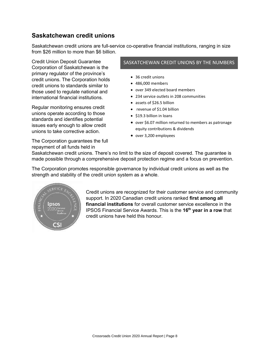### **Saskatchewan credit unions**

Saskatchewan credit unions are full-service co-operative financial institutions, ranging in size from \$26 million to more than \$6 billion.

Credit Union Deposit Guarantee Corporation of Saskatchewan is the primary regulator of the province's credit unions. The Corporation holds credit unions to standards similar to those used to regulate national and international financial institutions.

Regular monitoring ensures credit unions operate according to those standards and identifies potential issues early enough to allow credit unions to take corrective action.

The Corporation guarantees the full repayment of all funds held in

#### SASKATCHEWAN CREDIT UNIONS BY THE NUMBERS

- 36 credit unions
- 486,000 members
- over 349 elected board members
- 234 service outlets in 208 communities
- assets of \$26.5 billion
- revenue of \$1.04 billion
- \$19.3 billion in loans
- over \$6.07 million returned to members as patronage equity contributions & dividends
- over 3,200 employees

Saskatchewan credit unions. There's no limit to the size of deposit covered. The guarantee is made possible through a comprehensive deposit protection regime and a focus on prevention.

The Corporation promotes responsible governance by individual credit unions as well as the strength and stability of the credit union system as a whole.



Credit unions are recognized for their customer service and community support. In 2020 Canadian credit unions ranked **first among all financial institutions** for overall customer service excellence in the IPSOS Financial Service Awards. This is the **16th year in a row** that credit unions have held this honour.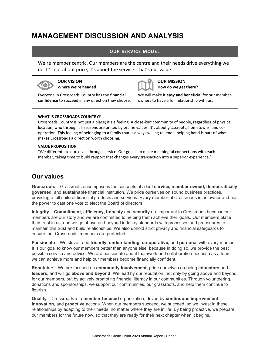# **MANAGEMENT DISCUSSION AND ANALYSIS**

### **OUR SERVICE MODEL**

We're member centric. Our members are the centre and their needs drive everything we do. It's not about price, it's about the service. That's our value.



**OUR VISION Where we're headed**



**OUR MISSION How do we get there?**

Everyone in Crossroads Country has the **financial confidence** to succeed in any direction they choose. We will make it **easy and beneficial** for our memberowners to have a full relationship with us.

#### **WHAT IS CROSSROADS COUNTRY?**

Crossroads Country is not just a place; it's a feeling. A close-knit community of people, regardless of physical location, who through all seasons are united by prairie values. It's about grassroots, hometowns, and cooperation. This feeling of belonging to a family that is always willing to lend a helping hand is part of what makes Crossroads a direction worth choosing.

#### **VALUE PROPOSITION**

"We differentiate ourselves through service. Our goal is to make meaningful connections with each member, taking time to build rapport that changes every transaction into a superior experience."

## **Our values**

**Grassroots –** Grassroots encompasses the concepts of a **full service, member owned, democratically governed,** and **sustainable** financial institution. We pride ourselves on sound business practices, providing a full suite of financial products and services. Every member of Crossroads is an owner and has the power to cast one vote to elect the Board of directors.

**Integrity – Commitment, efficiency, honesty** and **security** are important to Crossroads because our members are our story and we are committed to helping them achieve their goals. Our members place their trust in us, and we go above and beyond industry standards with processes and procedures to maintain this trust and build relationships. We also uphold strict privacy and financial safeguards to ensure that Crossroads' members are protected.

**Passionate –** We strive to be **friendly, understanding, co-operative,** and **personal** with every member. It is our goal to know our members better than anyone else, because in doing so, we provide the best possible service and advice. We are passionate about teamwork and collaboration because as a team, we can achieve more and help our members become financially confident.

**Reputable –** We are focused on **community involvement,** pride ourselves on being **educators** and **leaders**, and will go **above and beyond**. We lead by our reputation, not only by going above and beyond for our members, but by actively promoting financial literacy in our communities. Through volunteering, donations and sponsorships, we support our communities, our grassroots, and help them continue to flourish.

**Quality –** Crossroads is a **member-focused** organization, driven by **continuous improvement, innovation,** and **proactive** actions. When our members succeed, we succeed, so we invest in these relationships by adapting to their needs, no matter where they are in life. By being proactive, we prepare our members for the future now, so that they are ready for their next chapter when it begins.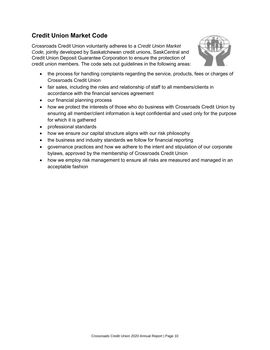## **Credit Union Market Code**

Crossroads Credit Union voluntarily adheres to a *Credit Union Market Code,* jointly developed by Saskatchewan credit unions, SaskCentral and Credit Union Deposit Guarantee Corporation to ensure the protection of credit union members. The code sets out guidelines in the following areas:



- the process for handling complaints regarding the service, products, fees or charges of Crossroads Credit Union
- fair sales, including the roles and relationship of staff to all members/clients in accordance with the financial services agreement
- our financial planning process
- how we protect the interests of those who do business with Crossroads Credit Union by ensuring all member/client information is kept confidential and used only for the purpose for which it is gathered
- professional standards
- how we ensure our capital structure aligns with our risk philosophy
- the business and industry standards we follow for financial reporting
- governance practices and how we adhere to the intent and stipulation of our corporate bylaws, approved by the membership of Crossroads Credit Union
- how we employ risk management to ensure all risks are measured and managed in an acceptable fashion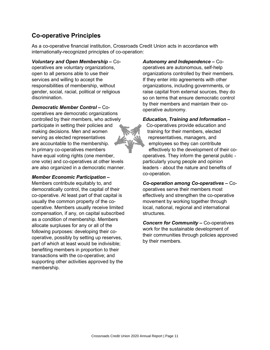### **Co-operative Principles**

As a co-operative financial institution, Crossroads Credit Union acts in accordance with internationally-recognized principles of co-operation:

*Voluntary and Open Membership –* Cooperatives are voluntary organizations, open to all persons able to use their services and willing to accept the responsibilities of membership, without gender, social, racial, political or religious discrimination.

*Democratic Member Control –* Cooperatives are democratic organizations controlled by their members, who actively participate in setting their policies and making decisions. Men and women serving as elected representatives are accountable to the membership. In primary co-operatives members have equal voting rights (one member, one vote) and co-operatives at other levels are also organized in a democratic manner.

### *Member Economic Participation –*

Members contribute equitably to, and democratically control, the capital of their co-operative. At least part of that capital is usually the common property of the cooperative. Members usually receive limited compensation, if any, on capital subscribed as a condition of membership. Members allocate surpluses for any or all of the following purposes: developing their cooperative, possibly by setting up reserves, part of which at least would be indivisible; benefiting members in proportion to their transactions with the co-operative; and supporting other activities approved by the membership.

*Autonomy and Independence –* Cooperatives are autonomous, self-help organizations controlled by their members. If they enter into agreements with other organizations, including governments, or raise capital from external sources, they do so on terms that ensure democratic control by their members and maintain their cooperative autonomy.

*Education, Training and Information –*

Co-operatives provide education and training for their members, elected representatives, managers, and employees so they can contribute effectively to the development of their cooperatives. They inform the general public particularly young people and opinion leaders - about the nature and benefits of co-operation.

*Co-operation among Co-operatives –* Cooperatives serve their members most effectively and strengthen the co-operative movement by working together through local, national, regional and international structures.

*Concern for Community –* Co-operatives work for the sustainable development of their communities through policies approved by their members.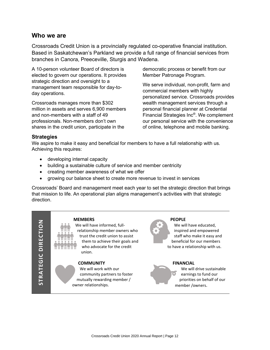### **Who we are**

Crossroads Credit Union is a provincially regulated co-operative financial institution. Based in Saskatchewan's Parkland we provide a full range of financial services from branches in Canora, Preeceville, Sturgis and Wadena.

A 10-person volunteer Board of directors is elected to govern our operations. It provides strategic direction and oversight to a management team responsible for day-today operations.

Crossroads manages more than \$302 million in assets and serves 6,900 members and non-members with a staff of 49 professionals. Non-members don't own shares in the credit union, participate in the

democratic process or benefit from our Member Patronage Program.

We serve individual, non-profit, farm and commercial members with highly personalized service. Crossroads provides wealth management services through a personal financial planner at Credential Financial Strategies Inc® . We complement our personal service with the convenience of online, telephone and mobile banking.

### **Strategies**

We aspire to make it easy and beneficial for members to have a full relationship with us. Achieving this requires:

- developing internal capacity
- building a sustainable culture of service and member centricity
- creating member awareness of what we offer
- growing our balance sheet to create more revenue to invest in services

Crossroads' Board and management meet each year to set the strategic direction that brings that mission to life. An operational plan aligns management's activities with that strategic direction.

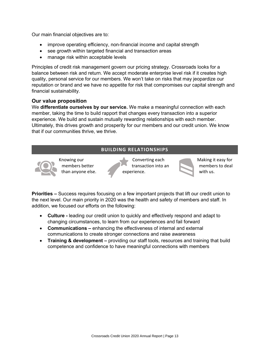Our main financial objectives are to:

- improve operating efficiency, non-financial income and capital strength
- see growth within targeted financial and transaction areas
- manage risk within acceptable levels

Principles of credit risk management govern our pricing strategy. Crossroads looks for a balance between risk and return. We accept moderate enterprise level risk if it creates high quality, personal service for our members. We won't take on risks that may jeopardize our reputation or brand and we have no appetite for risk that compromises our capital strength and financial sustainability.

### **Our value proposition**

We **differentiate ourselves by our service.** We make a meaningful connection with each member, taking the time to build rapport that changes every transaction into a superior experience. We build and sustain mutually rewarding relationships with each member. Ultimately, this drives growth and prosperity for our members and our credit union. We know that if our communities thrive, we thrive.

### **BUILDING RELATIONSHIPS**



Knowing our members better than anyone else.

Converting each transaction into an experience.



Making it easy for members to deal with us.

**Priorities –** Success requires focusing on a few important projects that lift our credit union to the next level. Our main priority in 2020 was the health and safety of members and staff. In addition, we focused our efforts on the following:

- **Culture -** leading our credit union to quickly and effectively respond and adapt to changing circumstances, to learn from our experiences and fail forward
- **Communications –** enhancing the effectiveness of internal and external communications to create stronger connections and raise awareness
- **Training & development –** providing our staff tools, resources and training that build competence and confidence to have meaningful connections with members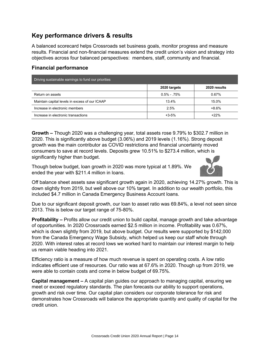## **Key performance drivers & results**

A balanced scorecard helps Crossroads set business goals, monitor progress and measure results. Financial and non-financial measures extend the credit union's vision and strategy into objectives across four balanced perspectives: members, staff, community and financial.

### **Financial performance**

| Driving sustainable earnings to fund our priorities |                |              |
|-----------------------------------------------------|----------------|--------------|
|                                                     | 2020 targets   | 2020 results |
| Return on assets                                    | $0.5\% - 75\%$ | 0.67%        |
| Maintain capital levels in excess of our ICAAP      | 13.4%          | 15.0%        |
| Increase in electronic members                      | 2.5%           | $+8.6%$      |
| Increase in electronic transactions                 | $+3-5%$        | $+22%$       |

**Growth –** Though 2020 was a challenging year, total assets rose 9.79% to \$302.7 million in 2020. This is significantly above budget (3.06%) and 2019 levels (1.16%). Strong deposit growth was the main contributor as COVID restrictions and financial uncertainty moved consumers to save at record levels. Deposits grew 10.51% to \$273.4 million, which is significantly higher than budget.

Though below budget, loan growth in 2020 was more typical at 1.89%. We ended the year with \$211.4 million in loans.



Off balance sheet assets saw significant growth again in 2020, achieving 14.27% growth. This is down slightly from 2019, but well above our 10% target. In addition to our wealth portfolio, this included \$4.7 million in Canada Emergency Business Account loans.

Due to our significant deposit growth, our loan to asset ratio was 69.84%, a level not seen since 2013. This is below our target range of 75-80%.

**Profitability –** Profits allow our credit union to build capital, manage growth and take advantage of opportunities. In 2020 Crossroads earned \$2.5 million in income. Profitability was 0.67%, which is down slightly from 2019, but above budget. Our results were supported by \$142,000 from the Canada Emergency Wage Subsidy, which helped us keep our staff whole through 2020. With interest rates at record lows we worked hard to maintain our interest margin to help us remain viable heading into 2021.

Efficiency ratio is a measure of how much revenue is spent on operating costs. A low ratio indicates efficient use of resources. Our ratio was at 67.6% in 2020. Though up from 2019, we were able to contain costs and come in below budget of 69.75%.

**Capital management –** A capital plan guides our approach to managing capital, ensuring we meet or exceed regulatory standards. The plan forecasts our ability to support operations, growth and risk over time. Our capital plan considers our corporate tolerance for risk and demonstrates how Crossroads will balance the appropriate quantity and quality of capital for the credit union.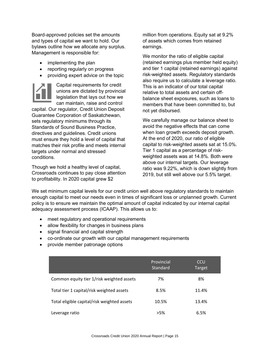Board-approved policies set the amounts and types of capital we want to hold. Our bylaws outline how we allocate any surplus. Management is responsible for:

- implementing the plan
- reporting regularly on progress
- providing expert advice on the topic



Capital requirements for credit unions are dictated by provincial legislation that lays out how we can maintain, raise and control

capital. Our regulator, Credit Union Deposit Guarantee Corporation of Saskatchewan, sets regulatory minimums through its Standards of Sound Business Practice, directives and guidelines. Credit unions must ensure they hold a level of capital that matches their risk profile and meets internal targets under normal and stressed conditions.

Though we hold a healthy level of capital, Crossroads continues to pay close attention to profitability. In 2020 capital grew \$2

million from operations. Equity sat at 9.2% of assets which comes from retained earnings.

We monitor the ratio of eligible capital (retained earnings plus member held equity) and tier 1 capital (retained earnings) against risk-weighted assets. Regulatory standards also require us to calculate a leverage ratio. This is an indicator of our total capital relative to total assets and certain offbalance sheet exposures, such as loans to members that have been committed to, but not yet disbursed.

We carefully manage our balance sheet to avoid the negative effects that can come when loan growth exceeds deposit growth. At the end of 2020, our ratio of eligible capital to risk-weighted assets sat at 15.0%. Tier 1 capital as a percentage of riskweighted assets was at 14.8%. Both were above our internal targets. Our leverage ratio was 9.22%, which is down slightly from 2019, but still well above our 5.5% target.

We set minimum capital levels for our credit union well above regulatory standards to maintain enough capital to meet our needs even in times of significant loss or unplanned growth. Current policy is to ensure we maintain the optimal amount of capital indicated by our internal capital adequacy assessment process (ICAAP). This allows us to:

- meet regulatory and operational requirements
- allow flexibility for changes in business plans
- signal financial and capital strength
- co-ordinate our growth with our capital management requirements
- provide member patronage options

|                                             | Provincial<br>Standard | <b>CCU</b><br>Target |
|---------------------------------------------|------------------------|----------------------|
| Common equity tier 1/risk weighted assets   | 7%                     | 8%                   |
| Total tier 1 capital/risk weighted assets   | 8.5%                   | 11.4%                |
| Total eligible capital/risk weighted assets | 10.5%                  | 13.4%                |
| Leverage ratio                              | $>5\%$                 | 6.5%                 |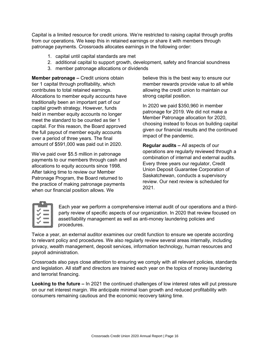Capital is a limited resource for credit unions. We're restricted to raising capital through profits from our operations. We keep this in retained earnings or share it with members through patronage payments. Crossroads allocates earnings in the following order:

- 1. capital until capital standards are met
- 2. additional capital to support growth, development, safety and financial soundness
- 3. member patronage allocations or dividends

**Member patronage –** Credit unions obtain tier 1 capital through profitability, which contributes to total retained earnings. Allocations to member equity accounts have traditionally been an important part of our capital growth strategy. However, funds held in member equity accounts no longer meet the standard to be counted as tier 1 capital. For this reason, the Board approved the full payout of member equity accounts over a period of three years. The final amount of \$591,000 was paid out in 2020.

We've paid over \$5.5 million in patronage payments to our members through cash and allocations to equity accounts since 1998. After taking time to review our Member Patronage Program, the Board returned to the practice of making patronage payments when our financial position allows. We

believe this is the best way to ensure our member rewards provide value to all while allowing the credit union to maintain our strong capital position.

In 2020 we paid \$350,960 in member patronage for 2019. We did not make a Member Patronage allocation for 2020, choosing instead to focus on building capital given our financial results and the continued impact of the pandemic.

**Regular audits –** All aspects of our operations are regularly reviewed through a combination of internal and external audits. Every three years our regulator, Credit Union Deposit Guarantee Corporation of Saskatchewan, conducts a supervisory review. Our next review is scheduled for 2021.

Each year we perform a comprehensive internal audit of our operations and a thirdparty review of specific aspects of our organization. In 2020 that review focused on asset/liability management as well as anti-money laundering policies and procedures.

Twice a year, an external auditor examines our credit function to ensure we operate according to relevant policy and procedures. We also regularly review several areas internally, including privacy, wealth management, deposit services, information technology, human resources and payroll administration.

Crossroads also pays close attention to ensuring we comply with all relevant policies, standards and legislation. All staff and directors are trained each year on the topics of money laundering and terrorist financing.

**Looking to the future –** In 2021 the continued challenges of low interest rates will put pressure on our net interest margin. We anticipate minimal loan growth and reduced profitability with consumers remaining cautious and the economic recovery taking time.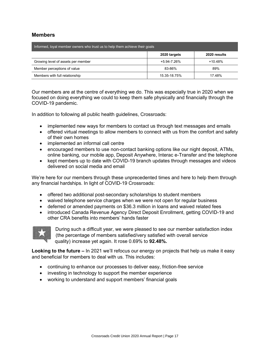### **Members**

| Informed, loyal member owners who trust us to help them achieve their goals |              |              |  |  |
|-----------------------------------------------------------------------------|--------------|--------------|--|--|
|                                                                             | 2020 targets | 2020 results |  |  |
| Growing level of assets per member                                          | +5.94-7.26%  | $+10.48%$    |  |  |
| Member perceptions of value                                                 | 83-86%       | 89%          |  |  |
| Members with full relationship                                              | 15 35-18 75% | 1748%        |  |  |

Our members are at the centre of everything we do. This was especially true in 2020 when we focused on doing everything we could to keep them safe physically and financially through the COVID-19 pandemic.

In addition to following all public health guidelines, Crossroads:

- implemented new ways for members to contact us through text messages and emails
- offered virtual meetings to allow members to connect with us from the comfort and safety of their own homes
- implemented an informal call centre
- encouraged members to use non-contact banking options like our night deposit, ATMs, online banking, our mobile app, Deposit Anywhere, Interac e-Transfer and the telephone
- kept members up to date with COVID-19 branch updates through messages and videos delivered on social media and email

We're here for our members through these unprecedented times and here to help them through any financial hardships. In light of COVID-19 Crossroads:

- offered two additional post-secondary scholarships to student members
- waived telephone service charges when we were not open for regular business
- deferred or amended payments on \$36.3 million in loans and waived related fees
- introduced Canada Revenue Agency Direct Deposit Enrollment, getting COVID-19 and other CRA benefits into members' hands faster



During such a difficult year, we were pleased to see our member satisfaction index (the percentage of members satisfied/very satisfied with overall service quality) increase yet again. It rose 0.69% to **92.48%.**

**Looking to the future –** In 2021 we'll refocus our energy on projects that help us make it easy and beneficial for members to deal with us. This includes:

- continuing to enhance our processes to deliver easy, friction-free service
- investing in technology to support the member experience
- working to understand and support members' financial goals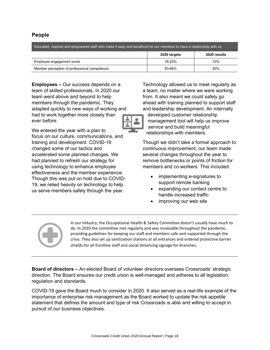### **People**

| Educated, inspired and empowered staff who make it easy and beneficial for our members to have a relationship with us |              |              |  |  |
|-----------------------------------------------------------------------------------------------------------------------|--------------|--------------|--|--|
|                                                                                                                       | 2020 targets | 2020 results |  |  |
| Employee engagement score                                                                                             | 16-20%       | 33%          |  |  |
| Member perception of professional competence                                                                          | 83-86%       | 83%          |  |  |

**Employees –** Our success depends on a team of skilled professionals. In 2020 our team went above and beyond to help members through the pandemic. They adapted quickly to new ways of working and had to work together more closely than ever before.

We entered the year with a plan to focus on our culture, communications, and training and development. COVID-19 changed some of our tactics and accelerated some planned changes. We had planned to refresh our strategy for using technology to enhance employee effectiveness and the member experience. Though this was put on hold due to COVID-19, we relied heavily on technology to help us serve members safely through the year.

Technology allowed us to meet regularly as a team, no matter where we were working from. It also meant we could safely go ahead with training planned to support staff and leadership development. An internally



developed customer relationship management tool will help us improve service and build meaningful relationships with members.

Though we didn't take a formal approach to continuous improvement, our team made several changes throughout the year to remove bottlenecks or points of friction for members and co-workers. This included:

- implementing e-signatures to support remote banking
- expanding our contact centre to handle increased traffic
- improving our web site



In our industry, the Occupational Health & Safety Committee doesn't usually have much to do. In 2020 the committee met regularly and was invaluable throughout the pandemic, providing guidelines for keeping our staff and members safe and supported through the crisis. They also set up sanitization stations at all entrances and ordered protective barrier shields for all frontline staff and social distancing signage for branches.

**Board of directors –** An elected Board of volunteer directors oversees Crossroads' strategic direction. The Board ensures our credit union is well-managed and adheres to all legislation, regulation and standards.

COVID-19 gave the Board much to consider in 2020. It also served as a real-life example of the importance of enterprise risk management as the Board worked to update the risk appetite statement that defines the amount and type of risk Crossroads is able and willing to accept in pursuit of our business objectives.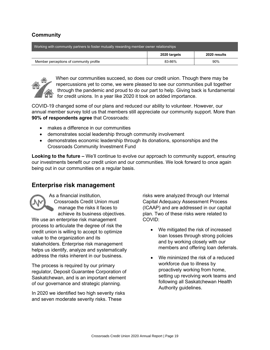### **Community**

| Working with community partners to foster mutually rewarding member owner relationships |              |              |  |
|-----------------------------------------------------------------------------------------|--------------|--------------|--|
|                                                                                         | 2020 targets | 2020 results |  |
| Member perceptions of community profile                                                 | 83-86%       | 90%          |  |



When our communities succeed, so does our credit union. Though there may be repercussions yet to come, we were pleased to see our communities pull together through the pandemic and proud to do our part to help. Giving back is fundamental for credit unions. In a year like 2020 it took on added importance.

COVID-19 changed some of our plans and reduced our ability to volunteer. However, our annual member survey told us that members still appreciate our community support. More than **90% of respondents agree** that Crossroads:

- makes a difference in our communities
- demonstrates social leadership through community involvement
- demonstrates economic leadership through its donations, sponsorships and the Crossroads Community Investment Fund

**Looking to the future –** We'll continue to evolve our approach to community support, ensuring our investments benefit our credit union and our communities. We look forward to once again being out in our communities on a regular basis.

### **Enterprise risk management**

As a financial institution, Crossroads Credit Union must manage the risks it faces to achieve its business objectives. We use an enterprise risk management process to articulate the degree of risk the credit union is willing to accept to optimize value to the organization and its stakeholders. Enterprise risk management helps us identify, analyze and systematically address the risks inherent in our business.

The process is required by our primary regulator, Deposit Guarantee Corporation of Saskatchewan, and is an important element of our governance and strategic planning.

In 2020 we identified two high severity risks and seven moderate severity risks. These

risks were analyzed through our Internal Capital Adequacy Assessment Process (ICAAP) and are addressed in our capital plan. Two of these risks were related to COVID:

- We mitigated the risk of increased loan losses through strong policies and by working closely with our members and offering loan deferrals.
- We minimized the risk of a reduced workforce due to illness by proactively working from home, setting up revolving work teams and following all Saskatchewan Health Authority guidelines.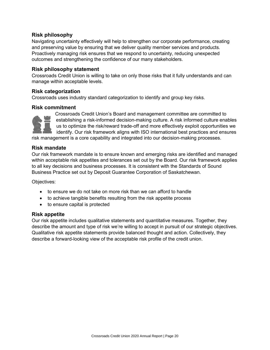### **Risk philosophy**

Navigating uncertainty effectively will help to strengthen our corporate performance, creating and preserving value by ensuring that we deliver quality member services and products. Proactively managing risk ensures that we respond to uncertainty, reducing unexpected outcomes and strengthening the confidence of our many stakeholders.

### **Risk philosophy statement**

Crossroads Credit Union is willing to take on only those risks that it fully understands and can manage within acceptable levels.

### **Risk categorization**

Crossroads uses industry standard categorization to identify and group key risks.

### **Risk commitment**



Crossroads Credit Union's Board and management committee are committed to establishing a risk-informed decision-making culture. A risk informed culture enables us to optimize the risk/reward trade-off and more effectively exploit opportunities we identify. Our risk framework aligns with ISO international best practices and ensures

risk management is a core capability and integrated into our decision-making processes.

#### **Risk mandate**

Our risk framework mandate is to ensure known and emerging risks are identified and managed within acceptable risk appetites and tolerances set out by the Board. Our risk framework applies to all key decisions and business processes. It is consistent with the Standards of Sound Business Practice set out by Deposit Guarantee Corporation of Saskatchewan.

Objectives:

- to ensure we do not take on more risk than we can afford to handle
- to achieve tangible benefits resulting from the risk appetite process
- to ensure capital is protected

### **Risk appetite**

Our risk appetite includes qualitative statements and quantitative measures. Together, they describe the amount and type of risk we're willing to accept in pursuit of our strategic objectives. Qualitative risk appetite statements provide balanced thought and action. Collectively, they describe a forward-looking view of the acceptable risk profile of the credit union.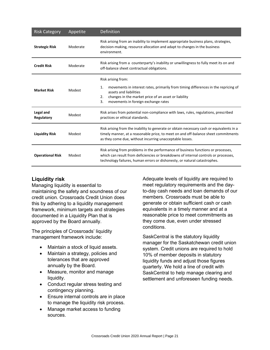| <b>Risk Category</b>    | Appetite | Definition                                                                                                                                                                                                                                            |
|-------------------------|----------|-------------------------------------------------------------------------------------------------------------------------------------------------------------------------------------------------------------------------------------------------------|
| <b>Strategic Risk</b>   | Moderate | Risk arising from an inability to implement appropriate business plans, strategies,<br>decision-making, resource allocation and adapt to changes in the business<br>environment.                                                                      |
| <b>Credit Risk</b>      | Moderate | Risk arising from a counterparty's inability or unwillingness to fully meet its on and<br>off-balance sheet contractual obligations.                                                                                                                  |
| <b>Market Risk</b>      | Modest   | Risk arising from:<br>movements in interest rates, primarily from timing differences in the repricing of<br>1.<br>assets and liabilities<br>changes in the market price of an asset or liability<br>2.<br>movements in foreign exchange rates<br>3.   |
| Legal and<br>Regulatory | Modest   | Risk arises from potential non-compliance with laws, rules, regulations, prescribed<br>practices or ethical standards.                                                                                                                                |
| <b>Liquidity Risk</b>   | Modest   | Risk arising from the inability to generate or obtain necessary cash or equivalents in a<br>timely manner, at a reasonable price, to meet on and off-balance sheet commitments<br>as they come due, without incurring unacceptable losses.            |
| <b>Operational Risk</b> | Modest   | Risk arising from problems in the performance of business functions or processes,<br>which can result from deficiencies or breakdowns of internal controls or processes,<br>technology failures, human errors or dishonesty, or natural catastrophes. |

### **Liquidity risk**

Managing liquidity is essential to maintaining the safety and soundness of our credit union. Crossroads Credit Union does this by adhering to a liquidity management framework, minimum targets and strategies documented in a Liquidity Plan that is approved by the Board annually.

The principles of Crossroads' liquidity management framework include:

- Maintain a stock of liquid assets.
- Maintain a strategy, policies and tolerances that are approved annually by the Board.
- Measure, monitor and manage liquidity.
- Conduct regular stress testing and contingency planning.
- Ensure internal controls are in place to manage the liquidity risk process.
- Manage market access to funding sources.

Adequate levels of liquidity are required to meet regulatory requirements and the dayto-day cash needs and loan demands of our members. Crossroads must be able to generate or obtain sufficient cash or cash equivalents in a timely manner and at a reasonable price to meet commitments as they come due, even under stressed conditions.

SaskCentral is the statutory liquidity manager for the Saskatchewan credit union system. Credit unions are required to hold 10% of member deposits in statutory liquidity funds and adjust those figures quarterly. We hold a line of credit with SaskCentral to help manage clearing and settlement and unforeseen funding needs.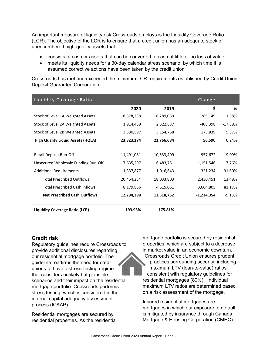An important measure of liquidity risk Crossroads employs is the Liquidity Coverage Ratio (LCR). The objective of the LCR is to ensure that a credit union has an adequate stock of unencumbered high-quality assets that:

- consists of cash or assets that can be converted to cash at little or no loss of value
- meets its liquidity needs for a 30-day calendar stress scenario, by which time it is assumed corrective actions have been taken by the credit union

Crossroads has met and exceeded the minimum LCR requirements established by Credit Union Deposit Guarantee Corporation.

| Liquidity Coverage Ratio                 |            |            | Change     |           |
|------------------------------------------|------------|------------|------------|-----------|
|                                          | 2020       | 2019       | \$         | %         |
| Stock of Level 1A Weighted Assets        | 18,578,238 | 18,289,089 | 289,149    | 1.58%     |
| Stock of Level 2A Weighted Assets        | 1,914,439  | 2,322,837  | -408,398   | $-17.58%$ |
| Stock of Level 2B Weighted Assets        | 3,330,597  | 3,154,758  | 175,839    | 5.57%     |
| <b>High Quality Liquid Assets (HQLA)</b> | 23,823,274 | 23,766,684 | 56,590     | 0.24%     |
|                                          |            |            |            |           |
| Retail Deposit Run-Off                   | 11,491,081 | 10,533,409 | 957,672    | 9.09%     |
| Unsecured Wholesale Funding Run-Off      | 7,635,297  | 6,483,751  | 1,151,546  | 17.76%    |
| <b>Additional Requirements</b>           | 1,337,877  | 1,016,643  | 321,234    | 31.60%    |
| <b>Total Prescribed Outflows</b>         | 20,464,254 | 18,033,803 | 2,430,451  | 13.48%    |
| <b>Total Prescribed Cash Inflows</b>     | 8,179,856  | 4,515,051  | 3,664,805  | 81.17%    |
| <b>Net Prescribed Cash Outflows</b>      | 12,284,398 | 13,518,752 | -1,234,354 | $-9.13%$  |
| Liquidity Coverage Ratio (LCR)           | 193.93%    | 175.81%    |            |           |

### **Credit risk**

Regulatory guidelines require Crossroads to provide additional disclosures regarding our residential mortgage portfolio. The guideline reaffirms the need for credit unions to have a stress-testing regime that considers unlikely but plausible scenarios and their impact on the residential mortgage portfolio. Crossroads performs stress testing, which is considered in the internal capital adequacy assessment process (ICAAP).

Residential mortgages are secured by residential properties. As the residential

mortgage portfolio is secured by residential properties, which are subject to a decrease in market value in an economic downturn, Crossroads Credit Union ensures prudent practices surrounding security, including maximum LTV (loan-to-value) ratios consistent with regulatory guidelines for residential mortgages (80%). Individual maximum LTV ratios are determined based on a risk assessment of the mortgage.

Insured residential mortgages are mortgages in which our exposure to default is mitigated by insurance through Canada Mortgage & Housing Corporation (CMHC).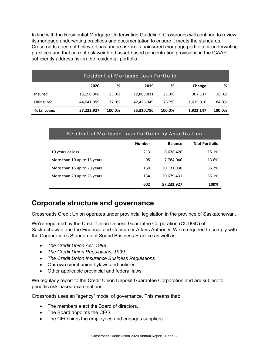In line with the Residential Mortgage Underwriting Guideline, Crossroads will continue to review its mortgage underwriting practices and documentation to ensure it meets the standards. Crossroads does not believe it has undue risk in its uninsured mortgage portfolio or underwriting practices and that current risk weighted asset-based concentration provisions in the ICAAP sufficiently address risk in the residential portfolio.

| Residential Mortgage Loan Portfolio |            |        |            |        |           |        |
|-------------------------------------|------------|--------|------------|--------|-----------|--------|
|                                     | 2020       | %      | 2019       | %      | Change    | %      |
| Insured                             | 13,190,968 | 23.0%  | 12,883,831 | 23.3%  | 307,137   | 16.0%  |
| Uninsured                           | 44,041,959 | 77.0%  | 42,426,949 | 76.7%  | 1,615,010 | 84.0%  |
| <b>Total Loans</b>                  | 57,232,927 | 100.0% | 55,310,780 | 100.0% | 1,922,147 | 100.0% |

### Residential Mortgage Loan Portfolio by Amortization

|                             | <b>Number</b> | <b>Balance</b> | % of Portfolio |
|-----------------------------|---------------|----------------|----------------|
| 10 years or less            | 213           | 8,638,420      | 15.1%          |
| More than 10 up to 15 years | 95            | 7,784,046      | 13.6%          |
| More than 15 up to 20 years | 160           | 20,131,030     | 35.2%          |
| More than 20 up to 25 years | 134           | 20,679,431     | 36.1%          |
|                             | 602           | 57,232,927     | 100%           |

# **Corporate structure and governance**

Crossroads Credit Union operates under provincial legislation in the province of Saskatchewan.

We're regulated by the Credit Union Deposit Guarantee Corporation (CUDGC) of Saskatchewan and the Financial and Consumer Affairs Authority. We're required to comply with the Corporation's Standards of Sound Business Practice as well as:

- *The Credit Union Act, 1998*
- *The Credit Union Regulations, 1999*
- *The Credit Union Insurance Business Regulations*
- Our own credit union bylaws and policies
- Other applicable provincial and federal laws

We regularly report to the Credit Union Deposit Guarantee Corporation and are subject to periodic risk-based examinations.

Crossroads uses an "agency" model of governance. This means that:

- The members elect the Board of directors.
- The Board appoints the CEO.
- The CEO hires the employees and engages suppliers.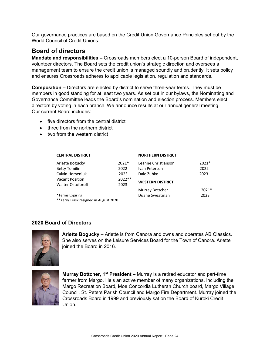Our governance practices are based on the Credit Union Governance Principles set out by the World Council of Credit Unions.

### **Board of directors**

**Mandate and responsibilities –** Crossroads members elect a 10-person Board of independent, volunteer directors. The Board sets the credit union's strategic direction and oversees a management team to ensure the credit union is managed soundly and prudently. It sets policy and ensures Crossroads adheres to applicable legislation, regulation and standards.

**Composition –** Directors are elected by district to serve three-year terms. They must be members in good standing for at least two years. As set out in our bylaws, the Nominating and Governance Committee leads the Board's nomination and election process. Members elect directors by voting in each branch. We announce results at our annual general meeting. Our current Board includes:

- five directors from the central district
- three from the northern district
- two from the western district

| <b>CENTRAL DISTRICT</b>                |          | <b>NORTHERN DISTRICT</b> |         |
|----------------------------------------|----------|--------------------------|---------|
| Arlette Bogucky                        | $2021*$  | Leanne Christianson      | $2021*$ |
| <b>Betty Tomilin</b>                   | 2022     | Ivan Peterson            | 2022    |
| Calvin Homeniuk                        | 2023     | Dale Zubko               | 2023    |
| <b>Vacant Position</b>                 | $2022**$ | <b>WESTERN DISTRICT</b>  |         |
| <b>Walter Ostoforoff</b>               | 2023     |                          |         |
|                                        |          | Murray Bottcher          | $2021*$ |
| *Terms Expiring                        |          | Duane Sweatman           | 2023    |
| ** Kerry Trask resigned in August 2020 |          |                          |         |

### **2020 Board of Directors**



**Arlette Bogucky –** Arlette is from Canora and owns and operates AB Classics. She also serves on the Leisure Services Board for the Town of Canora. Arlette joined the Board in 2016.



**Murray Bottcher, 1st President –** Murray is a retired educator and part-time farmer from Margo. He's an active member of many organizations, including the Margo Recreation Board, Moe Concordia Lutheran Church board, Margo Village Council, St. Peters Parish Council and Margo Fire Department. Murray joined the Crossroads Board in 1999 and previously sat on the Board of Kuroki Credit Union.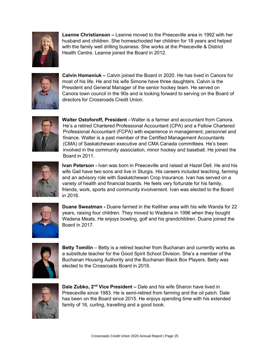

**Leanne Christianson –** Leanne moved to the Preeceville area in 1992 with her husband and children. She homeschooled her children for 18 years and helped with the family well drilling business. She works at the Preeceville & District Health Centre. Leanne joined the Board in 2012.



**Calvin Homeniuk –** Calvin joined the Board in 2020. He has lived in Canora for most of his life. He and his wife Simone have three daughters. Calvin is the President and General Manager of the senior hockey team. He served on Canora town council in the 90s and is looking forward to serving on the Board of directors for Crossroads Credit Union.



**Walter Ostoforoff, President -** Walter is a farmer and accountant from Canora. He's a retired Chartered Professional Accountant (CPA) and a Fellow Chartered Professional Accountant (FCPA) with experience in management, personnel and finance. Walter is a past member of the Certified Management Accountants (CMA) of Saskatchewan executive and CMA Canada committees. He's been involved in the community association, minor hockey and baseball. He joined the Board in 2011.



**Ivan Peterson -** Ivan was born in Preeceville and raised at Hazel Dell. He and his wife Gail have two sons and live in Sturgis. His careers included teaching, farming and an advisory role with Saskatchewan Crop Insurance. Ivan has served on a variety of health and financial boards. He feels very fortunate for his family, friends, work, sports and community involvement. Ivan was elected to the Board in 2016.



**Duane Sweatman -** Duane farmed in the Kelliher area with his wife Wanda for 22 years, raising four children. They moved to Wadena in 1996 when they bought Wadena Meats. He enjoys bowling, golf and his grandchildren. Duane joined the Board in 2017.



**Betty Tomilin** – Betty is a retired teacher from Buchanan and currently works as a substitute teacher for the Good Spirit School Division. She's a member of the Buchanan Housing Authority and the Buchanan Black Box Players. Betty was elected to the Crossroads Board in 2016.



**Dale Zubko, 2nd Vice President –** Dale and his wife Sharon have lived in Preeceville since 1983. He is semi-retired from farming and the oil patch. Dale has been on the Board since 2015. He enjoys spending time with his extended family of 16, curling, travelling and a good book.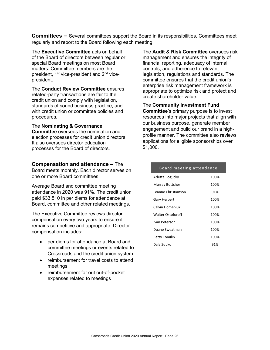**Committees –** Several committees support the Board in its responsibilities. Committees meet regularly and report to the Board following each meeting.

The **Executive Committee** acts on behalf of the Board of directors between regular or special Board meetings on most Board matters. Committee members are the president, 1<sup>st</sup> vice-president and 2<sup>nd</sup> vicepresident.

The **Conduct Review Committee** ensures related-party transactions are fair to the credit union and comply with legislation, standards of sound business practice, and with credit union or committee policies and procedures.

#### The **Nominating & Governance**

**Committee** oversees the nomination and election processes for credit union directors. It also oversees director education processes for the Board of directors.

**Compensation and attendance –** The Board meets monthly. Each director serves on

one or more Board committees.

Average Board and committee meeting attendance in 2020 was 91%. The credit union paid \$33,510 in per diems for attendance at Board, committee and other related meetings.

The Executive Committee reviews director compensation every two years to ensure it remains competitive and appropriate. Director compensation includes:

- per diems for attendance at Board and committee meetings or events related to Crossroads and the credit union system
- reimbursement for travel costs to attend meetings
- reimbursement for out out-of-pocket expenses related to meetings

The **Audit & Risk Committee** oversees risk management and ensures the integrity of financial reporting, adequacy of internal controls, and adherence to relevant legislation, regulations and standards. The committee ensures that the credit union's enterprise risk management framework is appropriate to optimize risk and protect and create shareholder value.

The **Community Investment Fund Committee**'s primary purpose is to invest resources into major projects that align with our business purpose, generate member engagement and build our brand in a highprofile manner. The committee also reviews applications for eligible sponsorships over \$1,000.

| Board meeting attendance |      |
|--------------------------|------|
| Arlette Bogucky          | 100% |
| Murray Bottcher          | 100% |
| Leanne Christianson      | 91%  |
| Gary Herbert             | 100% |
| Calvin Homeniuk          | 100% |
| Walter Ostoforoff        | 100% |
| Ivan Peterson            | 100% |
| Duane Sweatman           | 100% |
| Betty Tomilin            | 100% |
| Dale Zubko               | 91%  |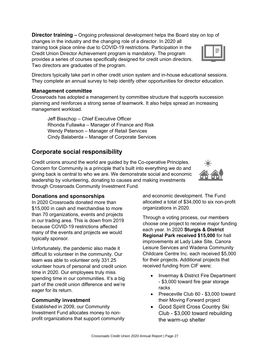**Director training –** Ongoing professional development helps the Board stay on top of changes in the industry and the changing role of a director. In 2020 all training took place online due to COVID-19 restrictions. Participation in the Credit Union Director Achievement program is mandatory. The program provides a series of courses specifically designed for credit union directors. Two directors are graduates of the program.

Directors typically take part in other credit union system and in-house educational sessions. They complete an annual survey to help identify other opportunities for director education.

### **Management committee**

Crossroads has adopted a management by committee structure that supports succession planning and reinforces a strong sense of teamwork. It also helps spread an increasing management workload.

Jeff Bisschop – Chief Executive Officer Rhonda Fullawka – Manager of Finance and Risk Wendy Peterson – Manager of Retail Services Cindy Balaberda – Manager of Corporate Services

## **Corporate social responsibility**

Credit unions around the world are guided by the Co-operative Principles. Concern for Community is a principle that's built into everything we do and giving back is central to who we are. We demonstrate social and economic leadership by volunteering, donating to causes and making investments through Crossroads Community Investment Fund.

### **Donations and sponsorships**

In 2020 Crossroads donated more than \$15,000 in cash and merchandise to more than 70 organizations, events and projects in our trading area. This is down from 2019 because COVID-19 restrictions affected many of the events and projects we would typically sponsor.

Unfortunately, the pandemic also made it difficult to volunteer in the community. Our team was able to volunteer only 331.25 volunteer hours of personal and credit union time in 2020. Our employees truly miss spending time in our communities. It's a big part of the credit union difference and we're eager for its return.

### **Community investment**

Established in 2009, our Community Investment Fund allocates money to nonprofit organizations that support community and economic development. The Fund allocated a total of \$34,000 to six non-profit organizations in 2020.

Through a voting process, our members choose one project to receive major funding each year. In 2020 **Sturgis & District Regional Park received \$15,000** for hall improvements at Lady Lake Site. Canora Leisure Services and Wadena Community Childcare Centre Inc. each received \$5,000 for their projects. Additional projects that received funding from CIF were:

- Invermay & District Fire Department - \$3,000 toward fire gear storage racks
- Preeceville Club 60 \$3,000 toward their Moving Forward project
- Good Spirit Cross Country Ski Club - \$3,000 toward rebuilding the warm-up shelter



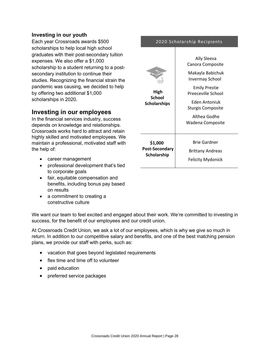### **Investing in our youth**

Each year Crossroads awards \$500 scholarships to help local high school graduates with their post-secondary tuition expenses. We also offer a \$1,000 scholarship to a student returning to a postsecondary institution to continue their studies. Recognizing the financial strain the pandemic was causing, we decided to help by offering two additional \$1,000 scholarships in 2020.

### **Investing in our employees**

In the financial services industry, success depends on knowledge and relationships. Crossroads works hard to attract and retain highly skilled and motivated employees. We maintain a professional, motivated staff with the help of:

- career management
- professional development that's tied to corporate goals
- fair, equitable compensation and benefits, including bonus pay based on results
- a commitment to creating a constructive culture

We want our team to feel excited and engaged about their work. We're committed to investing in success, for the benefit of our employees and our credit union.

At Crossroads Credit Union, we ask a lot of our employees, which is why we give so much in return. In addition to our competitive salary and benefits, and one of the best matching pension plans, we provide our staff with perks, such as:

- vacation that goes beyond legislated requirements
- flex time and time off to volunteer
- paid education
- preferred service packages

|                               | Ally Sleeva<br>Canora Composite<br>Makayla Babichuk           |
|-------------------------------|---------------------------------------------------------------|
| High<br><b>School</b>         | Invermay School<br><b>Emily Prestie</b><br>Preeceville School |
| <b>Scholarships</b>           | Eden Antoniuk<br>Sturgis Composite                            |
|                               | Althea Godhe<br>Wadena Composite                              |
| \$1,000                       | Brie Gardner                                                  |
| Post-Secondary<br>Scholarship | <b>Brittany Andreas</b>                                       |
|                               | <b>Felicity Mydonick</b>                                      |

### 2020 Scholarship Recipients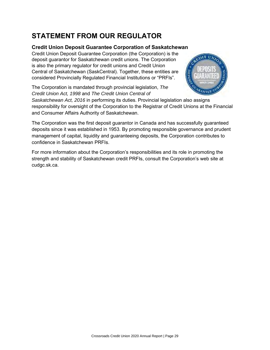# **STATEMENT FROM OUR REGULATOR**

### **Credit Union Deposit Guarantee Corporation of Saskatchewan**

Credit Union Deposit Guarantee Corporation (the Corporation) is the deposit guarantor for Saskatchewan credit unions. The Corporation is also the primary regulator for credit unions and Credit Union Central of Saskatchewan (SaskCentral). Together, these entities are considered Provincially Regulated Financial Institutions or "PRFIs".

The Corporation is mandated through provincial legislation, *The Credit Union Act, 1998* and *The Credit Union Central of* 



*Saskatchewan Act, 2016* in performing its duties. Provincial legislation also assigns responsibility for oversight of the Corporation to the Registrar of Credit Unions at the Financial and Consumer Affairs Authority of Saskatchewan.

The Corporation was the first deposit guarantor in Canada and has successfully guaranteed deposits since it was established in 1953. By promoting responsible governance and prudent management of capital, liquidity and guaranteeing deposits, the Corporation contributes to confidence in Saskatchewan PRFIs.

For more information about the Corporation's responsibilities and its role in promoting the strength and stability of Saskatchewan credit PRFIs, consult the Corporation's web site at cudgc.sk.ca.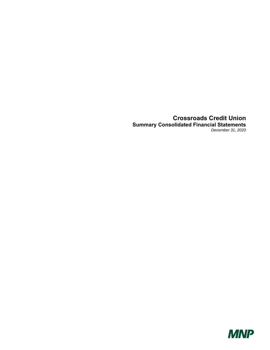### **Crossroads Credit Union Summary Consolidated Financial Statements**  *December 31, 2020*

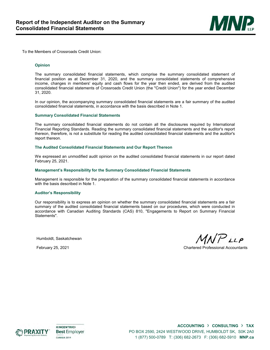

To the Members of Crossroads Credit Union:

#### **Opinion**

The summary consolidated financial statements, which comprise the summary consolidated statement of financial position as at December 31, 2020, and the summary consolidated statements of comprehensive income, changes in members' equity and cash flows for the year then ended, are derived from the audited consolidated financial statements of Crossroads Credit Union (the "Credit Union") for the year ended December 31, 2020.

In our opinion, the accompanying summary consolidated financial statements are a fair summary of the audited consolidated financial statements, in accordance with the basis described in Note 1.

#### **Summary Consolidated Financial Statements**

The summary consolidated financial statements do not contain all the disclosures required by International Financial Reporting Standards. Reading the summary consolidated financial statements and the auditor's report thereon, therefore, is not a substitute for reading the audited consolidated financial statements and the auditor's report thereon.

#### **The Audited Consolidated Financial Statements and Our Report Thereon**

We expressed an unmodified audit opinion on the audited consolidated financial statements in our report dated February 25, 2021.

#### **Management's Responsibility for the Summary Consolidated Financial Statements**

Management is responsible for the preparation of the summary consolidated financial statements in accordance with the basis described in Note 1.

#### **Auditor's Responsibility**

Our responsibility is to express an opinion on whether the summary consolidated financial statements are a fair summary of the audited consolidated financial statements based on our procedures, which were conducted in accordance with Canadian Auditing Standards (CAS) 810, "Engagements to Report on Summary Financial Statements".

Humboldt, Saskatchewan

 $MNP$ LLP

February 25, 2021 Chartered Professional Accountants



**KINCENTRIC> Best Employer CANADA 2019** 

**ACCOUNTING** › **CONSULTING** › **TAX** PO BOX 2590, 2424 WESTWOOD DRIVE, HUMBOLDT SK, S0K 2A0 1 (877) 500-0789 T: (306) 682-2673 F: (306) 682-5910 **MNP.ca**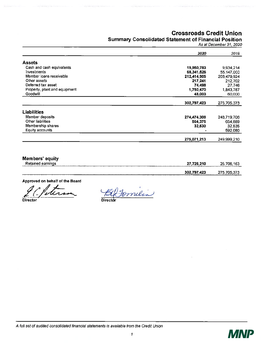### Crossroads Credit Union

### Summary Consolidated Statement of Financial Position

As at December31, 2020

|                               | 2020        | 2019        |
|-------------------------------|-------------|-------------|
| <b>Assets</b>                 |             |             |
| Cash and cash equivalents     | 19,950,783  | 9.934.214   |
| Investments                   | 68,341,526  | 55,147,000  |
| Member loans receivable       | 212,414,905 | 208,479,924 |
| Other assets                  | 217,241     | 212,702     |
| Deferred tax asset            | 74,498      | 27,746      |
| Property, plant and equipment | 1,750,470   | 1,843,787   |
| Goodwill                      | 48,000      | 60,000      |
|                               | 302,797,423 | 275,705,373 |
| Liabilities                   |             |             |
| Member deposits               | 274,474,308 | 248,719,706 |
| Other liabilities             | 564,375     | 654,889     |
| Membership shares             | 32,530      | 32,535      |
| Equity accounts               |             | 592,080     |
|                               | 275,071,213 | 249,999,210 |

Members' equity

| Retained earnings<br>---------<br>----<br>------ | 726,210<br>--------                  | 25,706,163                 |
|--------------------------------------------------|--------------------------------------|----------------------------|
| _____                                            | 302,797,423<br>________________<br>. | 275 705 272<br>___________ |

Approved on behalf of the Board

Gletima Bernier

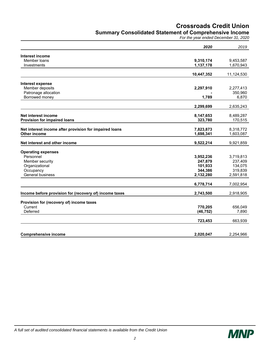### **Crossroads Credit Union**

### **Summary Consolidated Statement of Comprehensive Income**

*For the year ended December 31, 2020* 

|                                                        | 2020                 | 2019                 |
|--------------------------------------------------------|----------------------|----------------------|
| Interest income                                        |                      |                      |
| Member loans                                           | 9,310,174            | 9,453,587            |
| Investments                                            | 1,137,178            | 1,670,943            |
|                                                        | 10,447,352           | 11,124,530           |
| Interest expense                                       |                      |                      |
| Member deposits                                        | 2,297,910            | 2,277,413            |
| Patronage allocation                                   |                      | 350,960              |
| Borrowed money                                         | 1,789                | 6,870                |
|                                                        | 2,299,699            | 2,635,243            |
| Net interest income                                    |                      |                      |
| <b>Provision for impaired loans</b>                    | 8,147,653<br>323,780 | 8,489,287<br>170,515 |
|                                                        |                      |                      |
| Net interest income after provision for impaired loans | 7,823,873            | 8,318,772            |
| Other income                                           | 1,698,341            | 1,603,087            |
| Net interest and other income                          | 9,522,214            | 9,921,859            |
| <b>Operating expenses</b>                              |                      |                      |
| Personnel                                              | 3,952,236            | 3,719,813            |
| Member security                                        | 247,879              | 237,409              |
| Organizational                                         | 101,933              | 134,075              |
| Occupancy                                              | 344,386              | 319,839              |
| General business                                       | 2,132,280            | 2,591,818            |
|                                                        | 6,778,714            | 7,002,954            |
| Income before provision for (recovery of) income taxes | 2,743,500            | 2,918,905            |
| Provision for (recovery of) income taxes               |                      |                      |
| Current                                                | 770,205              | 656,049              |
| Deferred                                               | (46, 752)            | 7,890                |
|                                                        |                      |                      |
|                                                        | 723,453              | 663,939              |
|                                                        |                      |                      |
| <b>Comprehensive income</b>                            | 2,020,047            | 2,254,966            |

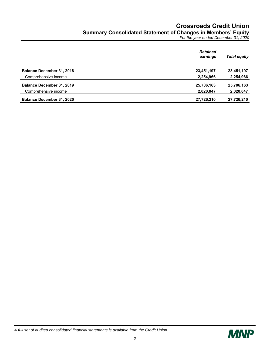## **Crossroads Credit Union Summary Consolidated Statement of Changes in Members' Equity**

*For the year ended December 31, 2020* 

|                                  | <b>Retained</b><br>earnings | <b>Total equity</b> |
|----------------------------------|-----------------------------|---------------------|
| <b>Balance December 31, 2018</b> | 23,451,197                  | 23,451,197          |
| Comprehensive income             | 2,254,966                   | 2,254,966           |
| <b>Balance December 31, 2019</b> | 25,706,163                  | 25,706,163          |
| Comprehensive income             | 2,020,047                   | 2,020,047           |
| <b>Balance December 31, 2020</b> | 27,726,210                  | 27,726,210          |

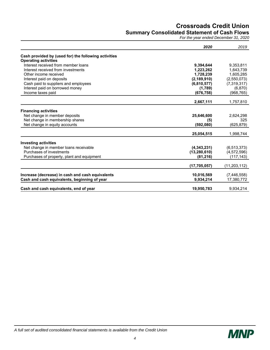### **Crossroads Credit Union Summary Consolidated Statement of Cash Flows**

*For the year ended December 31, 2020* 

|                                                      | 2020           | 2019           |
|------------------------------------------------------|----------------|----------------|
| Cash provided by (used for) the following activities |                |                |
| <b>Operating activities</b>                          |                |                |
| Interest received from member loans                  | 9,394,644      | 9,353,811      |
| Interest received from investments                   | 1,223,262      | 1,643,739      |
| Other income received                                | 1,728,239      | 1,605,285      |
| Interest paid on deposits                            | (2, 189, 910)  | (2,550,073)    |
| Cash paid to suppliers and employees                 | (6,810,577)    | (7, 319, 317)  |
| Interest paid on borrowed money                      | (1,789)        | (6, 870)       |
| Income taxes paid                                    | (676, 758)     | (968, 765)     |
|                                                      | 2,667,111      | 1,757,810      |
| <b>Financing activities</b>                          |                |                |
| Net change in member deposits                        | 25,646,600     | 2,624,298      |
| Net change in membership shares                      | (5)            | 325            |
| Net change in equity accounts                        | (592,080)      | (625,879)      |
|                                                      |                |                |
|                                                      | 25,054,515     | 1,998,744      |
| <b>Investing activities</b>                          |                |                |
| Net change in member loans receivable                | (4,343,231)    | (6, 513, 373)  |
| Purchases of investments                             | (13, 280, 610) | (4,572,596)    |
| Purchases of property, plant and equipment           | (81, 216)      | (117, 143)     |
|                                                      | (17, 705, 057) | (11, 203, 112) |
| Increase (decrease) in cash and cash equivalents     | 10,016,569     | (7,446,558)    |
|                                                      | 9,934,214      |                |
| Cash and cash equivalents, beginning of year         |                | 17,380,772     |
| Cash and cash equivalents, end of year               | 19,950,783     | 9,934,214      |

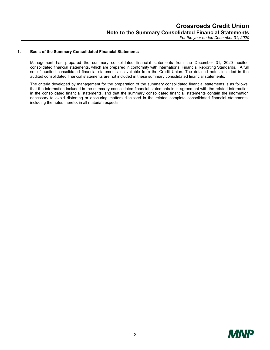#### **1. Basis of the Summary Consolidated Financial Statements**

Management has prepared the summary consolidated financial statements from the December 31, 2020 audited consolidated financial statements, which are prepared in conformity with International Financial Reporting Standards. A full set of audited consolidated financial statements is available from the Credit Union. The detailed notes included in the audited consolidated financial statements are not included in these summary consolidated financial statements.

The criteria developed by management for the preparation of the summary consolidated financial statements is as follows: that the information included in the summary consolidated financial statements is in agreement with the related information in the consolidated financial statements, and that the summary consolidated financial statements contain the information necessary to avoid distorting or obscuring matters disclosed in the related complete consolidated financial statements, including the notes thereto, in all material respects.